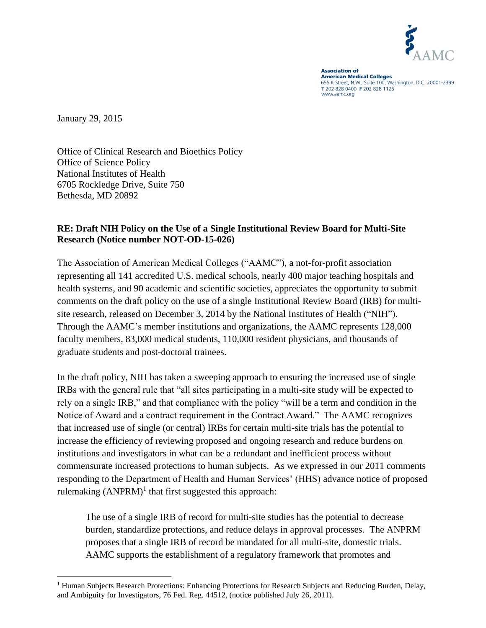

**Association of American Medical Colleges** 655 K Street, N.W., Suite 100, Washington, D.C. 20001-2399<br>T 202 828 0400 F 202 828 1125 www.aamc.org

January 29, 2015

 $\overline{a}$ 

Office of Clinical Research and Bioethics Policy Office of Science Policy National Institutes of Health 6705 Rockledge Drive, Suite 750 Bethesda, MD 20892

## **RE: Draft NIH Policy on the Use of a Single Institutional Review Board for Multi-Site Research (Notice number NOT-OD-15-026)**

The Association of American Medical Colleges ("AAMC"), a not-for-profit association representing all 141 accredited U.S. medical schools, nearly 400 major teaching hospitals and health systems, and 90 academic and scientific societies, appreciates the opportunity to submit comments on the draft policy on the use of a single Institutional Review Board (IRB) for multisite research, released on December 3, 2014 by the National Institutes of Health ("NIH"). Through the AAMC's member institutions and organizations, the AAMC represents 128,000 faculty members, 83,000 medical students, 110,000 resident physicians, and thousands of graduate students and post-doctoral trainees.

In the draft policy, NIH has taken a sweeping approach to ensuring the increased use of single IRBs with the general rule that "all sites participating in a multi-site study will be expected to rely on a single IRB," and that compliance with the policy "will be a term and condition in the Notice of Award and a contract requirement in the Contract Award." The AAMC recognizes that increased use of single (or central) IRBs for certain multi-site trials has the potential to increase the efficiency of reviewing proposed and ongoing research and reduce burdens on institutions and investigators in what can be a redundant and inefficient process without commensurate increased protections to human subjects. As we expressed in our 2011 comments responding to the Department of Health and Human Services' (HHS) advance notice of proposed rulemaking  $(ANPRM)^1$  that first suggested this approach:

The use of a single IRB of record for multi-site studies has the potential to decrease burden, standardize protections, and reduce delays in approval processes. The ANPRM proposes that a single IRB of record be mandated for all multi-site, domestic trials. AAMC supports the establishment of a regulatory framework that promotes and

<sup>&</sup>lt;sup>1</sup> Human Subjects Research Protections: Enhancing Protections for Research Subjects and Reducing Burden, Delay, and Ambiguity for Investigators, 76 Fed. Reg. 44512, (notice published July 26, 2011).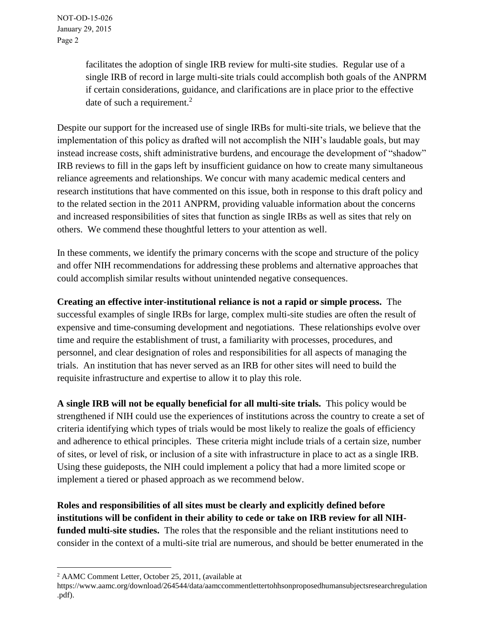facilitates the adoption of single IRB review for multi-site studies. Regular use of a single IRB of record in large multi-site trials could accomplish both goals of the ANPRM if certain considerations, guidance, and clarifications are in place prior to the effective date of such a requirement.<sup>2</sup>

Despite our support for the increased use of single IRBs for multi-site trials, we believe that the implementation of this policy as drafted will not accomplish the NIH's laudable goals, but may instead increase costs, shift administrative burdens, and encourage the development of "shadow" IRB reviews to fill in the gaps left by insufficient guidance on how to create many simultaneous reliance agreements and relationships. We concur with many academic medical centers and research institutions that have commented on this issue, both in response to this draft policy and to the related section in the 2011 ANPRM, providing valuable information about the concerns and increased responsibilities of sites that function as single IRBs as well as sites that rely on others. We commend these thoughtful letters to your attention as well.

In these comments, we identify the primary concerns with the scope and structure of the policy and offer NIH recommendations for addressing these problems and alternative approaches that could accomplish similar results without unintended negative consequences.

**Creating an effective inter-institutional reliance is not a rapid or simple process.** The successful examples of single IRBs for large, complex multi-site studies are often the result of expensive and time-consuming development and negotiations. These relationships evolve over time and require the establishment of trust, a familiarity with processes, procedures, and personnel, and clear designation of roles and responsibilities for all aspects of managing the trials. An institution that has never served as an IRB for other sites will need to build the requisite infrastructure and expertise to allow it to play this role.

**A single IRB will not be equally beneficial for all multi-site trials.** This policy would be strengthened if NIH could use the experiences of institutions across the country to create a set of criteria identifying which types of trials would be most likely to realize the goals of efficiency and adherence to ethical principles. These criteria might include trials of a certain size, number of sites, or level of risk, or inclusion of a site with infrastructure in place to act as a single IRB. Using these guideposts, the NIH could implement a policy that had a more limited scope or implement a tiered or phased approach as we recommend below.

**Roles and responsibilities of all sites must be clearly and explicitly defined before institutions will be confident in their ability to cede or take on IRB review for all NIHfunded multi-site studies.** The roles that the responsible and the reliant institutions need to consider in the context of a multi-site trial are numerous, and should be better enumerated in the

 $\overline{a}$ 

<sup>2</sup> AAMC Comment Letter, October 25, 2011, (available at

https://www.aamc.org/download/264544/data/aamccommentlettertohhsonproposedhumansubjectsresearchregulation .pdf).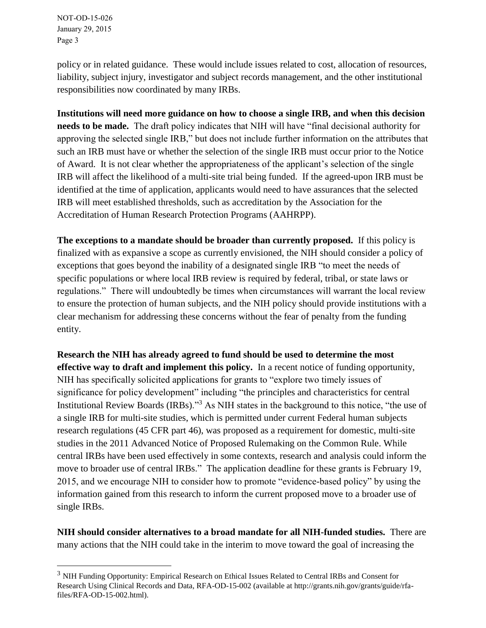NOT-OD-15-026 January 29, 2015 Page 3

 $\overline{a}$ 

policy or in related guidance. These would include issues related to cost, allocation of resources, liability, subject injury, investigator and subject records management, and the other institutional responsibilities now coordinated by many IRBs.

**Institutions will need more guidance on how to choose a single IRB, and when this decision needs to be made.** The draft policy indicates that NIH will have "final decisional authority for approving the selected single IRB," but does not include further information on the attributes that such an IRB must have or whether the selection of the single IRB must occur prior to the Notice of Award. It is not clear whether the appropriateness of the applicant's selection of the single IRB will affect the likelihood of a multi-site trial being funded. If the agreed-upon IRB must be identified at the time of application, applicants would need to have assurances that the selected IRB will meet established thresholds, such as accreditation by the Association for the Accreditation of Human Research Protection Programs (AAHRPP).

**The exceptions to a mandate should be broader than currently proposed.** If this policy is finalized with as expansive a scope as currently envisioned, the NIH should consider a policy of exceptions that goes beyond the inability of a designated single IRB "to meet the needs of specific populations or where local IRB review is required by federal, tribal, or state laws or regulations." There will undoubtedly be times when circumstances will warrant the local review to ensure the protection of human subjects, and the NIH policy should provide institutions with a clear mechanism for addressing these concerns without the fear of penalty from the funding entity.

**Research the NIH has already agreed to fund should be used to determine the most effective way to draft and implement this policy.** In a recent notice of funding opportunity, NIH has specifically solicited applications for grants to "explore two timely issues of significance for policy development" including "the principles and characteristics for central Institutional Review Boards (IRBs)."<sup>3</sup> As NIH states in the background to this notice, "the use of a single IRB for multi-site studies, which is permitted under current Federal human subjects research regulations (45 CFR part 46), was proposed as a requirement for domestic, multi-site studies in the 2011 Advanced Notice of Proposed Rulemaking on the Common Rule. While central IRBs have been used effectively in some contexts, research and analysis could inform the move to broader use of central IRBs." The application deadline for these grants is February 19, 2015, and we encourage NIH to consider how to promote "evidence-based policy" by using the information gained from this research to inform the current proposed move to a broader use of single IRBs.

**NIH should consider alternatives to a broad mandate for all NIH-funded studies.** There are many actions that the NIH could take in the interim to move toward the goal of increasing the

<sup>&</sup>lt;sup>3</sup> NIH Funding Opportunity: Empirical Research on Ethical Issues Related to Central IRBs and Consent for Research Using Clinical Records and Data, RFA-OD-15-002 (available at http://grants.nih.gov/grants/guide/rfafiles/RFA-OD-15-002.html).